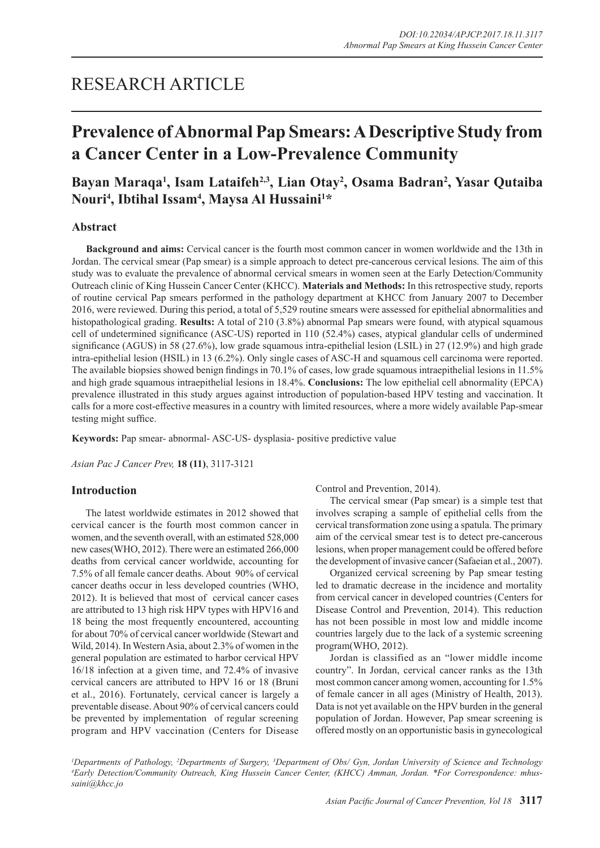## RESEARCH ARTICLE

# **Prevalence of Abnormal Pap Smears: A Descriptive Study from a Cancer Center in a Low-Prevalence Community**

## Bayan Maraqa<sup>1</sup>, Isam Lataifeh<sup>2,3</sup>, Lian Otay<sup>2</sup>, Osama Badran<sup>2</sup>, Yasar Qutaiba **Nouri4 , Ibtihal Issam4 , Maysa Al Hussaini1 \***

### **Abstract**

**Background and aims:** Cervical cancer is the fourth most common cancer in women worldwide and the 13th in Jordan. The cervical smear (Pap smear) is a simple approach to detect pre-cancerous cervical lesions. The aim of this study was to evaluate the prevalence of abnormal cervical smears in women seen at the Early Detection/Community Outreach clinic of King Hussein Cancer Center (KHCC). **Materials and Methods:** In this retrospective study, reports of routine cervical Pap smears performed in the pathology department at KHCC from January 2007 to December 2016, were reviewed. During this period, a total of 5,529 routine smears were assessed for epithelial abnormalities and histopathological grading. **Results:** A total of 210 (3.8%) abnormal Pap smears were found, with atypical squamous cell of undetermined significance (ASC-US) reported in 110 (52.4%) cases, atypical glandular cells of undermined significance (AGUS) in 58 (27.6%), low grade squamous intra-epithelial lesion (LSIL) in 27 (12.9%) and high grade intra-epithelial lesion (HSIL) in 13 (6.2%). Only single cases of ASC-H and squamous cell carcinoma were reported. The available biopsies showed benign findings in 70.1% of cases, low grade squamous intraepithelial lesions in 11.5% and high grade squamous intraepithelial lesions in 18.4%. **Conclusions:** The low epithelial cell abnormality (EPCA) prevalence illustrated in this study argues against introduction of population-based HPV testing and vaccination. It calls for a more cost-effective measures in a country with limited resources, where a more widely available Pap-smear testing might suffice.

**Keywords:** Pap smear- abnormal- ASC-US- dysplasia- positive predictive value

*Asian Pac J Cancer Prev,* **18 (11)**, 3117-3121

#### **Introduction**

The latest worldwide estimates in 2012 showed that cervical cancer is the fourth most common cancer in women, and the seventh overall, with an estimated 528,000 new cases(WHO, 2012). There were an estimated 266,000 deaths from cervical cancer worldwide, accounting for 7.5% of all female cancer deaths. About 90% of cervical cancer deaths occur in less developed countries (WHO, 2012). It is believed that most of cervical cancer cases are attributed to 13 high risk HPV types with HPV16 and 18 being the most frequently encountered, accounting for about 70% of cervical cancer worldwide (Stewart and Wild, 2014). In Western Asia, about 2.3% of women in the general population are estimated to harbor cervical HPV 16/18 infection at a given time, and 72.4% of invasive cervical cancers are attributed to HPV 16 or 18 (Bruni et al., 2016). Fortunately, cervical cancer is largely a preventable disease. About 90% of cervical cancers could be prevented by implementation of regular screening program and HPV vaccination (Centers for Disease Control and Prevention, 2014).

The cervical smear (Pap smear) is a simple test that involves scraping a sample of epithelial cells from the cervical transformation zone using a spatula. The primary aim of the cervical smear test is to detect pre-cancerous lesions, when proper management could be offered before the development of invasive cancer (Safaeian et al., 2007).

Organized cervical screening by Pap smear testing led to dramatic decrease in the incidence and mortality from cervical cancer in developed countries (Centers for Disease Control and Prevention, 2014). This reduction has not been possible in most low and middle income countries largely due to the lack of a systemic screening program(WHO, 2012).

Jordan is classified as an "lower middle income country". In Jordan, cervical cancer ranks as the 13th most common cancer among women, accounting for 1.5% of female cancer in all ages (Ministry of Health, 2013). Data is not yet available on the HPV burden in the general population of Jordan. However, Pap smear screening is offered mostly on an opportunistic basis in gynecological

<sup>1</sup>Departments of Pathology, <sup>2</sup>Departments of Surgery, <sup>3</sup>Department of Obs/ Gyn, Jordan University of Science and Technology<br><sup>4</sup>Early Detection/Community Outreach King Hussein Cancer Center (KHCC) Amman, Jordan, \*Eor Cor *Early Detection/Community Outreach, King Hussein Cancer Center, (KHCC) Amman, Jordan. \*For Correspondence: mhussaini@khcc.jo*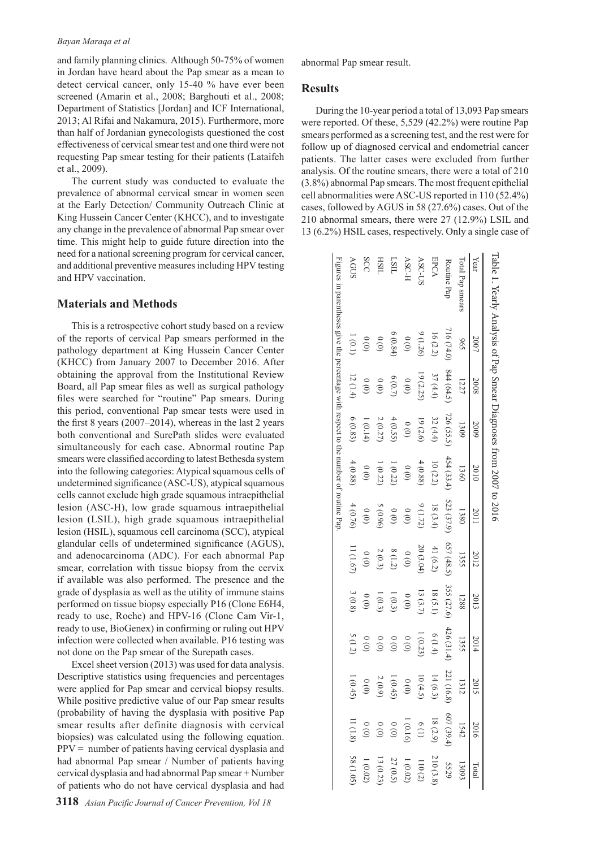#### *Bayan Maraqa et al*

and family planning clinics. Although 50-75% of women in Jordan have heard about the Pap smear as a mean to detect cervical cancer, only 15-40 % have ever been screened (Amarin et al., 2008; Barghouti et al., 2008; Department of Statistics [Jordan] and ICF International, 2013; Al Rifai and Nakamura, 2015). Furthermore, more than half of Jordanian gynecologists questioned the cost effectiveness of cervical smear test and one third were not requesting Pap smear testing for their patients (Lataifeh et al., 2009).

The current study was conducted to evaluate the prevalence of abnormal cervical smear in women seen at the Early Detection/ Community Outreach Clinic at King Hussein Cancer Center (KHCC), and to investigate any change in the prevalence of abnormal Pap smear over time. This might help to guide future direction into the need for a national screening program for cervical cancer, and additional preventive measures including HPV testing and HPV vaccination.

### **Materials and Methods**

This is a retrospective cohort study based on a review of the reports of cervical Pap smears performed in the pathology department at King Hussein Cancer Center (KHCC) from January 2007 to December 2016. After obtaining the approval from the Institutional Review Board, all Pap smear files as well as surgical pathology files were searched for "routine" Pap smears. During this period, conventional Pap smear tests were used in the first 8 years (2007–2014), whereas in the last 2 years both conventional and SurePath slides were evaluated simultaneously for each case. Abnormal routine Pap smears were classified according to latest Bethesda system into the following categories: Atypical squamous cells of undetermined significance (ASC-US), atypical squamous cells cannot exclude high grade squamous intraepithelial lesion (ASC-H), low grade squamous intraepithelial lesion (LSIL), high grade squamous intraepithelial lesion (HSIL), squamous cell carcinoma (SCC), atypical glandular cells of undetermined significance (AGUS), and adenocarcinoma (ADC). For each abnormal Pap smear, correlation with tissue biopsy from the cervix if available was also performed. The presence and the grade of dysplasia as well as the utility of immune stains performed on tissue biopsy especially P16 (Clone E6H4, ready to use, Roche) and HPV-16 (Clone Cam Vir-1, ready to use, BioGenex) in confirming or ruling out HPV infection were collected when available. P16 testing was not done on the Pap smear of the Surepath cases.

Excel sheet version (2013) was used for data analysis. Descriptive statistics using frequencies and percentages were applied for Pap smear and cervical biopsy results. While positive predictive value of our Pap smear results (probability of having the dysplasia with positive Pap smear results after definite diagnosis with cervical biopsies) was calculated using the following equation.  $PPV =$  number of patients having cervical dysplasia and had abnormal Pap smear / Number of patients having cervical dysplasia and had abnormal Pap smear + Number of patients who do not have cervical dysplasia and had

abnormal Pap smear result.

#### **Results**

During the 10-year period a total of 13,093 Pap smears were reported. Of these, 5,529 (42.2%) were routine Pap smears performed as a screening test, and the rest were for follow up of diagnosed cervical and endometrial cancer patients. The latter cases were excluded from further analysis. Of the routine smears, there were a total of 210 (3.8%) abnormal Pap smears. The most frequent epithelial cell abnormalities were ASC-US reported in 110 (52.4%) cases, followed by AGUS in 58 (27.6%) cases. Out of the 210 abnormal smears, there were 27 (12.9%) LSIL and 13 (6.2%) HSIL cases, respectively. Only a single case of

| lable 1. Yearly Analysis of Pap Smear Diagnoses from $2007$ to $2016$                  |           |               |            |             |            |            |            |                                                      |                                      |                                                                                                                                                                                                                                                                                                                           |  |
|----------------------------------------------------------------------------------------|-----------|---------------|------------|-------------|------------|------------|------------|------------------------------------------------------|--------------------------------------|---------------------------------------------------------------------------------------------------------------------------------------------------------------------------------------------------------------------------------------------------------------------------------------------------------------------------|--|
| Year                                                                                   | 2007      | 2008          | 2009       | 2010        | 2011       | 2012       | 2013       | 2014                                                 | 2015                                 |                                                                                                                                                                                                                                                                                                                           |  |
| lotal Pap smears                                                                       | 66        | 1227          | 1309       | 1360        | 1380       | 1355       | 1288       | 1355                                                 | 1312                                 |                                                                                                                                                                                                                                                                                                                           |  |
| Routine Pap                                                                            | 716(74.0) | 844 (64.5)    | 726 (55.5) | 454 (33.4)  | S23 (37.9) | 657(48.5)  | 355 (27.6) | 426 (31.4)                                           | 221 (16.8)                           |                                                                                                                                                                                                                                                                                                                           |  |
| EPCA                                                                                   | 16(2.2)   | 37(4.4)       | 32(4.4)    | $10\ (2.2)$ | 18(3.4)    | 41 $(6.2)$ | 18(5.1)    | 6(1.4)                                               | 14(6.3)                              |                                                                                                                                                                                                                                                                                                                           |  |
| ASC-U                                                                                  | 6(1.26)   | 19 (2.25)     | 19(2.6)    | 4(0.88)     | 9(1.72)    | 20 (3.04)  | 13(3.7)    | 1(0.23)                                              | 10(4.5)                              |                                                                                                                                                                                                                                                                                                                           |  |
| ASC-H                                                                                  | (0)       | (0)           | (0)        | (0)         | (0)        | (0)        | (0)        | $\begin{matrix} 0 \\ 0 \end{matrix}$                 | (0)                                  | $\begin{array}{c cc}\n & 2016 & \text{Total} & \text{Total} \\ & 607 (39.4) & 5529 \\ & 18 (2.9) & 210 (3.8) \\ & 10 (16) & 110 (2) \\ & 10 (116) & 1 (0.02) \\ & 0 (0) & 27 (0.5) \\ & 0 (0) & 13 (0.23) \\ & 0 (0) & 11 (1.8) & 58 (1.05) \\ & 11 (1.8) & 58 (1.05) \\ & 11 (1.8) & 58 (1.05) \\ & 11 (1.8) & 58 (1.05$ |  |
| ПSП                                                                                    | 6(0.84)   | 6(0.7)        | 4(0.55)    | 1(0.22)     | (0)        | $8(1.2)$   | 1(0.3)     | $\begin{smallmatrix} & 0 \\ 0 & 0 \end{smallmatrix}$ | 1(0.45)                              |                                                                                                                                                                                                                                                                                                                           |  |
| <b>HSIL</b>                                                                            | (0)       | (0)           | 2(0.27)    | (0.22)      | 5(0.96)    | 2(0.3)     | 1(0.3)     | $\frac{0}{2}$                                        | 2(0.9)                               |                                                                                                                                                                                                                                                                                                                           |  |
| SCC                                                                                    | (0)       | $\frac{0}{0}$ | (0.14)     | (0)         | (0)        | (0)        | (0)        | (0)                                                  | $\begin{matrix} 0 \\ 0 \end{matrix}$ |                                                                                                                                                                                                                                                                                                                           |  |
| <b>AGUS</b>                                                                            | 1(0.1)    | 12(1.4)       | 6(0.83)    | 4(0.88)     | 4(0.76)    | 11(1.67)   | $3(0.8)$   | 5(1.2)                                               | 1(0.45)                              |                                                                                                                                                                                                                                                                                                                           |  |
| Figures in parentheses give the percentage with respect to the number of routine $Pap$ |           |               |            |             |            |            |            |                                                      |                                      |                                                                                                                                                                                                                                                                                                                           |  |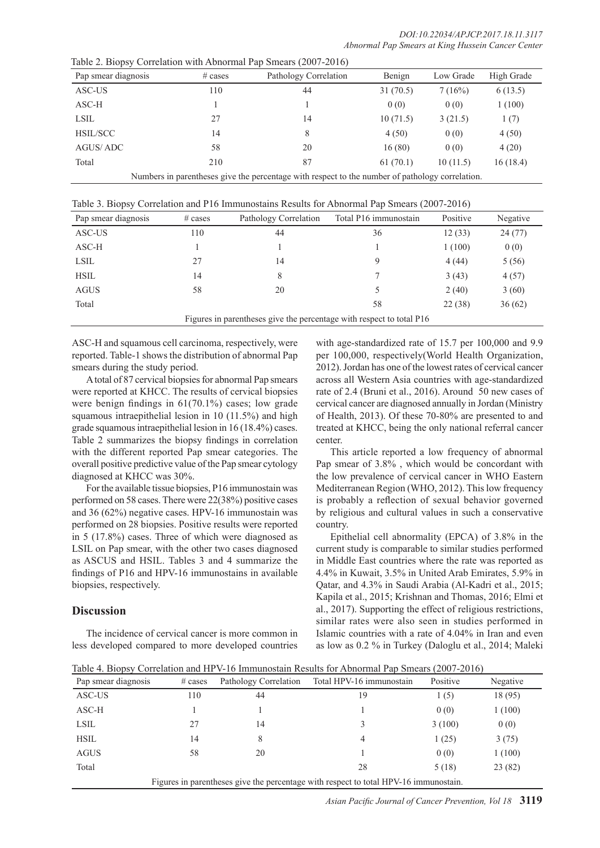Table 2. Biopsy Correlation with Abnormal Pap Smears (2007-2016)

| Pap smear diagnosis | $\#$ cases                                                                                      | Pathology Correlation | Benign   | Low Grade | High Grade |  |
|---------------------|-------------------------------------------------------------------------------------------------|-----------------------|----------|-----------|------------|--|
| ASC-US              | 110                                                                                             | 44                    | 31(70.5) | 7(16%)    | 6(13.5)    |  |
| ASC-H               |                                                                                                 |                       | 0(0)     | 0(0)      | 1(100)     |  |
| <b>LSIL</b>         | 27                                                                                              | 14                    | 10(71.5) | 3(21.5)   | 1(7)       |  |
| <b>HSIL/SCC</b>     | 14                                                                                              | 8                     | 4(50)    | 0(0)      | 4(50)      |  |
| AGUS/ADC            | 58                                                                                              | 20                    | 16(80)   | 0(0)      | 4(20)      |  |
| Total               | 210                                                                                             | 87                    | 61(70.1) | 10(11.5)  | 16(18.4)   |  |
|                     | Numbers in parentheses give the percentage with respect to the number of pathology correlation. |                       |          |           |            |  |

Table 3. Biopsy Correlation and P16 Immunostains Results for Abnormal Pap Smears (2007-2016)

| Pap smear diagnosis | $\#$ cases                                                           | Pathology Correlation | Total P16 immunostain | Positive | Negative |  |  |
|---------------------|----------------------------------------------------------------------|-----------------------|-----------------------|----------|----------|--|--|
| ASC-US              | 110                                                                  | 44                    | 36                    | 12(33)   | 24(77)   |  |  |
| ASC-H               |                                                                      |                       |                       | 1(100)   | 0(0)     |  |  |
| LSIL                | 27                                                                   | 14                    | 9                     | 4(44)    | 5(56)    |  |  |
| <b>HSIL</b>         | 14                                                                   | 8                     |                       | 3(43)    | 4(57)    |  |  |
| <b>AGUS</b>         | 58                                                                   | 20                    |                       | 2(40)    | 3(60)    |  |  |
| Total               |                                                                      |                       | 58                    | 22(38)   | 36(62)   |  |  |
|                     | Figures in parentheses give the percentage with respect to total P16 |                       |                       |          |          |  |  |

ASC-H and squamous cell carcinoma, respectively, were reported. Table-1 shows the distribution of abnormal Pap smears during the study period.

A total of 87 cervical biopsies for abnormal Pap smears were reported at KHCC. The results of cervical biopsies were benign findings in 61(70.1%) cases; low grade squamous intraepithelial lesion in 10 (11.5%) and high grade squamous intraepithelial lesion in 16 (18.4%) cases. Table 2 summarizes the biopsy findings in correlation with the different reported Pap smear categories. The overall positive predictive value of the Pap smear cytology diagnosed at KHCC was 30%.

For the available tissue biopsies, P16 immunostain was performed on 58 cases. There were 22(38%) positive cases and 36 (62%) negative cases. HPV-16 immunostain was performed on 28 biopsies. Positive results were reported in 5 (17.8%) cases. Three of which were diagnosed as LSIL on Pap smear, with the other two cases diagnosed as ASCUS and HSIL. Tables 3 and 4 summarize the findings of P16 and HPV-16 immunostains in available biopsies, respectively.

## **Discussion**

The incidence of cervical cancer is more common in less developed compared to more developed countries with age-standardized rate of 15.7 per 100,000 and 9.9 per 100,000, respectively(World Health Organization, 2012). Jordan has one of the lowest rates of cervical cancer across all Western Asia countries with age-standardized rate of 2.4 (Bruni et al., 2016). Around 50 new cases of cervical cancer are diagnosed annually in Jordan (Ministry of Health, 2013). Of these 70-80% are presented to and treated at KHCC, being the only national referral cancer center.

This article reported a low frequency of abnormal Pap smear of 3.8% , which would be concordant with the low prevalence of cervical cancer in WHO Eastern Mediterranean Region (WHO, 2012). This low frequency is probably a reflection of sexual behavior governed by religious and cultural values in such a conservative country.

Epithelial cell abnormality (EPCA) of 3.8% in the current study is comparable to similar studies performed in Middle East countries where the rate was reported as 4.4% in Kuwait, 3.5% in United Arab Emirates, 5.9% in Qatar, and 4.3% in Saudi Arabia (Al-Kadri et al., 2015; Kapila et al., 2015; Krishnan and Thomas, 2016; Elmi et al., 2017). Supporting the effect of religious restrictions, similar rates were also seen in studies performed in Islamic countries with a rate of 4.04% in Iran and even as low as 0.2 % in Turkey (Daloglu et al., 2014; Maleki

| Table 4. Biopsy Correlation and HPV-16 Immunostain Results for Abnormal Pap Smears (2007-2016) |  |
|------------------------------------------------------------------------------------------------|--|
|                                                                                                |  |

| Pap smear diagnosis                                                                  | $\#$ cases | Pathology Correlation | Total HPV-16 immunostain | Positive | Negative |
|--------------------------------------------------------------------------------------|------------|-----------------------|--------------------------|----------|----------|
| ASC-US                                                                               | 110        | 44                    | 19                       | 1(5)     | 18 (95)  |
| $ASC-H$                                                                              |            |                       |                          | 0(0)     | 1(100)   |
| LSIL                                                                                 | 27         | 14                    | 3                        | 3(100)   | 0(0)     |
| <b>HSIL</b>                                                                          | 14         | 8                     | 4                        | 1(25)    | 3(75)    |
| <b>AGUS</b>                                                                          | 58         | 20                    |                          | 0(0)     | 1(100)   |
| Total                                                                                |            |                       | 28                       | 5(18)    | 23(82)   |
| Figures in parentheses give the percentage with respect to total HPV-16 immunostain. |            |                       |                          |          |          |

*Asian Pacific Journal of Cancer Prevention, Vol 18* **3119**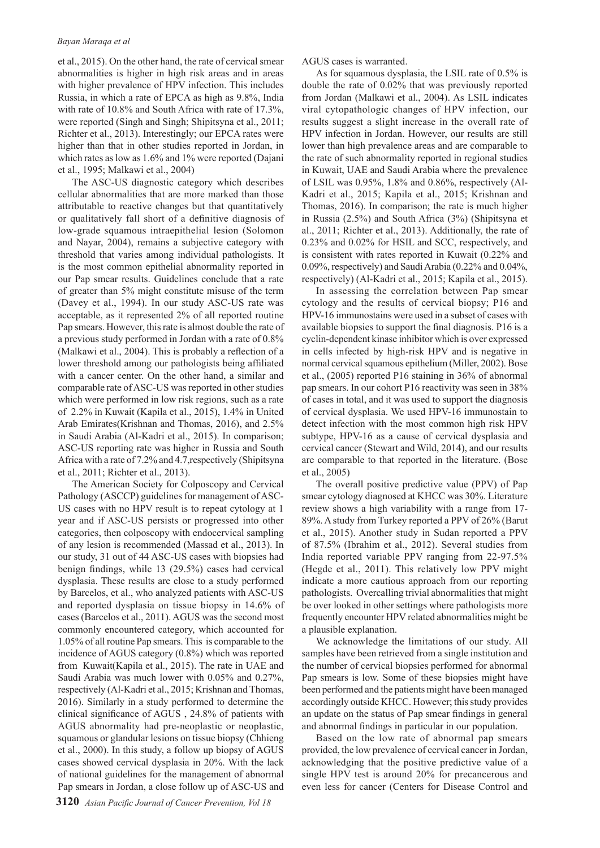et al., 2015). On the other hand, the rate of cervical smear abnormalities is higher in high risk areas and in areas with higher prevalence of HPV infection. This includes Russia, in which a rate of EPCA as high as 9.8%, India with rate of 10.8% and South Africa with rate of 17.3%, were reported (Singh and Singh; Shipitsyna et al., 2011; Richter et al., 2013). Interestingly; our EPCA rates were higher than that in other studies reported in Jordan, in which rates as low as 1.6% and 1% were reported (Dajani et al., 1995; Malkawi et al., 2004)

The ASC-US diagnostic category which describes cellular abnormalities that are more marked than those attributable to reactive changes but that quantitatively or qualitatively fall short of a definitive diagnosis of low-grade squamous intraepithelial lesion (Solomon and Nayar, 2004), remains a subjective category with threshold that varies among individual pathologists. It is the most common epithelial abnormality reported in our Pap smear results. Guidelines conclude that a rate of greater than 5% might constitute misuse of the term (Davey et al., 1994). In our study ASC-US rate was acceptable, as it represented 2% of all reported routine Pap smears. However, this rate is almost double the rate of a previous study performed in Jordan with a rate of 0.8% (Malkawi et al., 2004). This is probably a reflection of a lower threshold among our pathologists being affiliated with a cancer center. On the other hand, a similar and comparable rate of ASC-US was reported in other studies which were performed in low risk regions, such as a rate of 2.2% in Kuwait (Kapila et al., 2015), 1.4% in United Arab Emirates(Krishnan and Thomas, 2016), and 2.5% in Saudi Arabia (Al-Kadri et al., 2015). In comparison; ASC-US reporting rate was higher in Russia and South Africa with a rate of 7.2% and 4.7,respectively (Shipitsyna et al., 2011; Richter et al., 2013).

The American Society for Colposcopy and Cervical Pathology (ASCCP) guidelines for management of ASC-US cases with no HPV result is to repeat cytology at 1 year and if ASC-US persists or progressed into other categories, then colposcopy with endocervical sampling of any lesion is recommended (Massad et al., 2013). In our study, 31 out of 44 ASC-US cases with biopsies had benign findings, while 13 (29.5%) cases had cervical dysplasia. These results are close to a study performed by Barcelos, et al., who analyzed patients with ASC-US and reported dysplasia on tissue biopsy in 14.6% of cases (Barcelos et al., 2011). AGUS was the second most commonly encountered category, which accounted for 1.05% of all routine Pap smears. This is comparable to the incidence of AGUS category (0.8%) which was reported from Kuwait(Kapila et al., 2015). The rate in UAE and Saudi Arabia was much lower with 0.05% and 0.27%, respectively (Al-Kadri et al., 2015; Krishnan and Thomas, 2016). Similarly in a study performed to determine the clinical significance of AGUS , 24.8% of patients with AGUS abnormality had pre-neoplastic or neoplastic, squamous or glandular lesions on tissue biopsy (Chhieng et al., 2000). In this study, a follow up biopsy of AGUS cases showed cervical dysplasia in 20%. With the lack of national guidelines for the management of abnormal Pap smears in Jordan, a close follow up of ASC-US and

AGUS cases is warranted.

As for squamous dysplasia, the LSIL rate of 0.5% is double the rate of 0.02% that was previously reported from Jordan (Malkawi et al., 2004). As LSIL indicates viral cytopathologic changes of HPV infection, our results suggest a slight increase in the overall rate of HPV infection in Jordan. However, our results are still lower than high prevalence areas and are comparable to the rate of such abnormality reported in regional studies in Kuwait, UAE and Saudi Arabia where the prevalence of LSIL was 0.95%, 1.8% and 0.86%, respectively (Al-Kadri et al., 2015; Kapila et al., 2015; Krishnan and Thomas, 2016). In comparison; the rate is much higher in Russia (2.5%) and South Africa (3%) (Shipitsyna et al., 2011; Richter et al., 2013). Additionally, the rate of 0.23% and 0.02% for HSIL and SCC, respectively, and is consistent with rates reported in Kuwait (0.22% and 0.09%, respectively) and Saudi Arabia (0.22% and 0.04%, respectively) (Al-Kadri et al., 2015; Kapila et al., 2015).

In assessing the correlation between Pap smear cytology and the results of cervical biopsy; P16 and HPV-16 immunostains were used in a subset of cases with available biopsies to support the final diagnosis. P16 is a cyclin-dependent kinase inhibitor which is over expressed in cells infected by high-risk HPV and is negative in normal cervical squamous epithelium (Miller, 2002). Bose et al., (2005) reported P16 staining in 36% of abnormal pap smears. In our cohort P16 reactivity was seen in 38% of cases in total, and it was used to support the diagnosis of cervical dysplasia. We used HPV-16 immunostain to detect infection with the most common high risk HPV subtype, HPV-16 as a cause of cervical dysplasia and cervical cancer (Stewart and Wild, 2014), and our results are comparable to that reported in the literature. (Bose et al., 2005)

The overall positive predictive value (PPV) of Pap smear cytology diagnosed at KHCC was 30%. Literature review shows a high variability with a range from 17- 89%. A study from Turkey reported a PPV of 26% (Barut et al., 2015). Another study in Sudan reported a PPV of 87.5% (Ibrahim et al., 2012). Several studies from India reported variable PPV ranging from 22-97.5% (Hegde et al., 2011). This relatively low PPV might indicate a more cautious approach from our reporting pathologists. Overcalling trivial abnormalities that might be over looked in other settings where pathologists more frequently encounter HPV related abnormalities might be a plausible explanation.

We acknowledge the limitations of our study. All samples have been retrieved from a single institution and the number of cervical biopsies performed for abnormal Pap smears is low. Some of these biopsies might have been performed and the patients might have been managed accordingly outside KHCC. However; this study provides an update on the status of Pap smear findings in general and abnormal findings in particular in our population.

Based on the low rate of abnormal pap smears provided, the low prevalence of cervical cancer in Jordan, acknowledging that the positive predictive value of a single HPV test is around 20% for precancerous and even less for cancer (Centers for Disease Control and